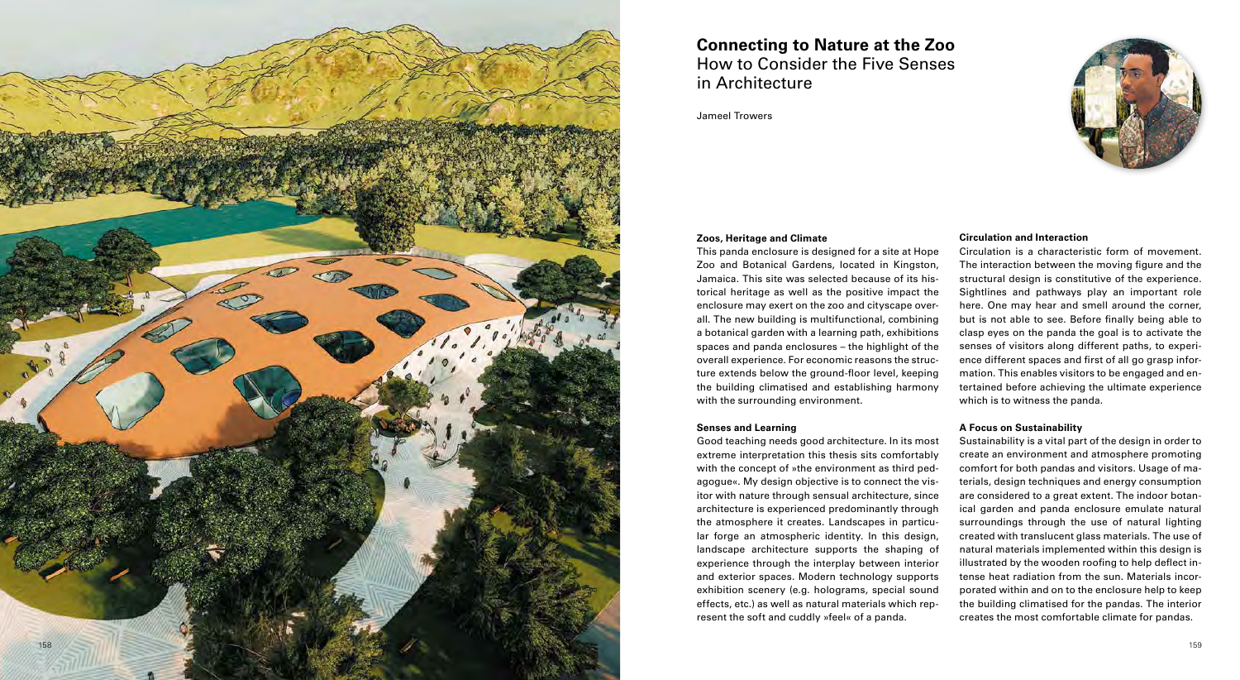#### **Zoos, Heritage and Climate**

#### **Senses and Learning**

This panda enclosure is designed for a site at Hope Zoo and Botanical Gardens, located in Kingston, Jamaica. This site was selected because of its his torical heritage as well as the positive impact the enclosure may exert on the zoo and cityscape over all. The new building is multifunctional, combining a botanical garden with a learning path, exhibitions spaces and panda enclosures – the highlight of the overall experience. For economic reasons the struc ture extends below the ground-floor level, keeping the building climatised and establishing harmony with the surrounding environment. Circulation is a characteristic form of movement. The interaction between the moving figure and the structural design is constitutive of the experience. Sightlines and pathways play an important role here. One may hear and smell around the corner, but is not able to see. Before finally being able to clasp eyes on the panda the goal is to activate the senses of visitors along different paths, to experi ence different spaces and first of all go grasp infor mation. This enables visitors to be engaged and en tertained before achieving the ultimate experience which is to witness the panda.

## **Circulation and Interaction**

Good teaching needs good architecture. In its most extreme interpretation this thesis sits comfortably with the concept of »the environment as third pedagogue«. My design objective is to connect the vis itor with nature through sensual architecture, since architecture is experienced predominantly through the atmosphere it creates. Landscapes in particu lar forge an atmospheric identity. In this design, landscape architecture supports the shaping of experience through the interplay between interior and exterior spaces. Modern technology supports exhibition scenery (e.g. holograms, special sound effects, etc.) as well as natural materials which rep resent the soft and cuddly »feel« of a panda. Sustainability is a vital part of the design in order to create an environment and atmosphere promoting comfort for both pandas and visitors. Usage of ma terials, design techniques and energy consumption are considered to a great extent. The indoor botan ical garden and panda enclosure emulate natural surroundings through the use of natural lighting created with translucent glass materials. The use of natural materials implemented within this design is illustrated by the wooden roofing to help deflect in tense heat radiation from the sun. Materials incor porated within and on to the enclosure help to keep the building climatised for the pandas. The interior creates the most comfortable climate for pandas.



## **A Focus on Sustainability**

# **Connecting to Nature at the Zoo** How to Consider the Five Senses in Architecture

Jameel Trowers

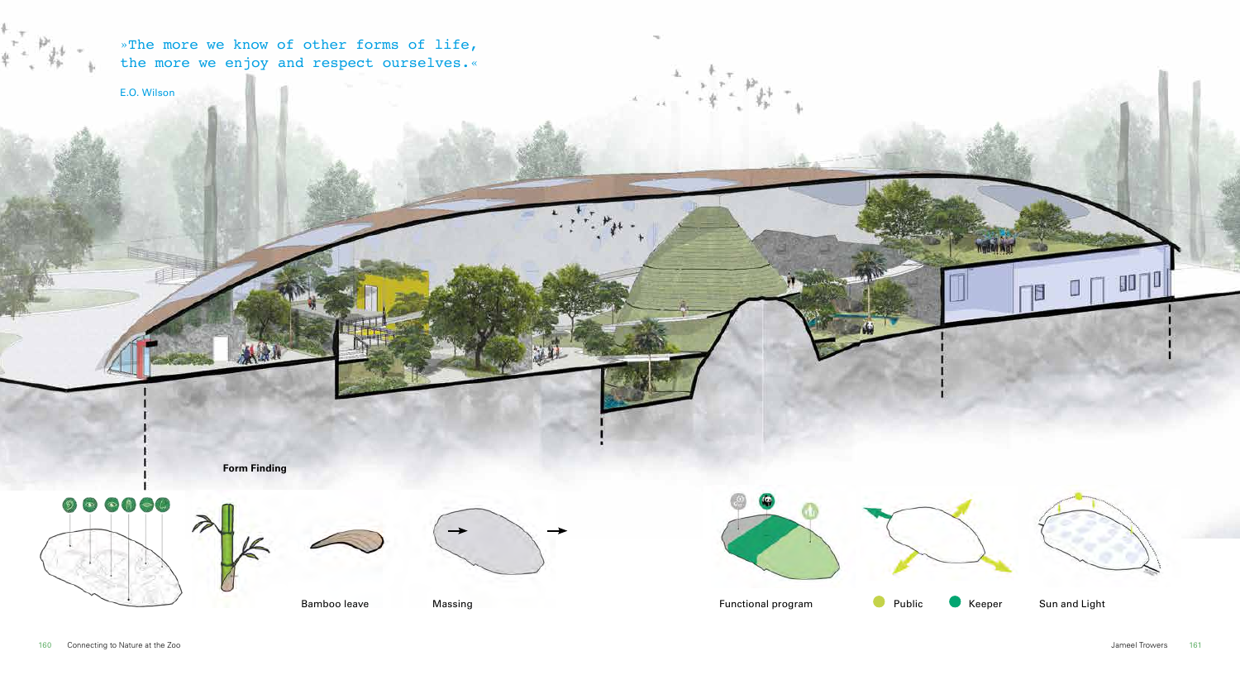**Form Finding**













»The more we know of other forms of life, the more we enjoy and respect ourselves.«

E.O. Wilson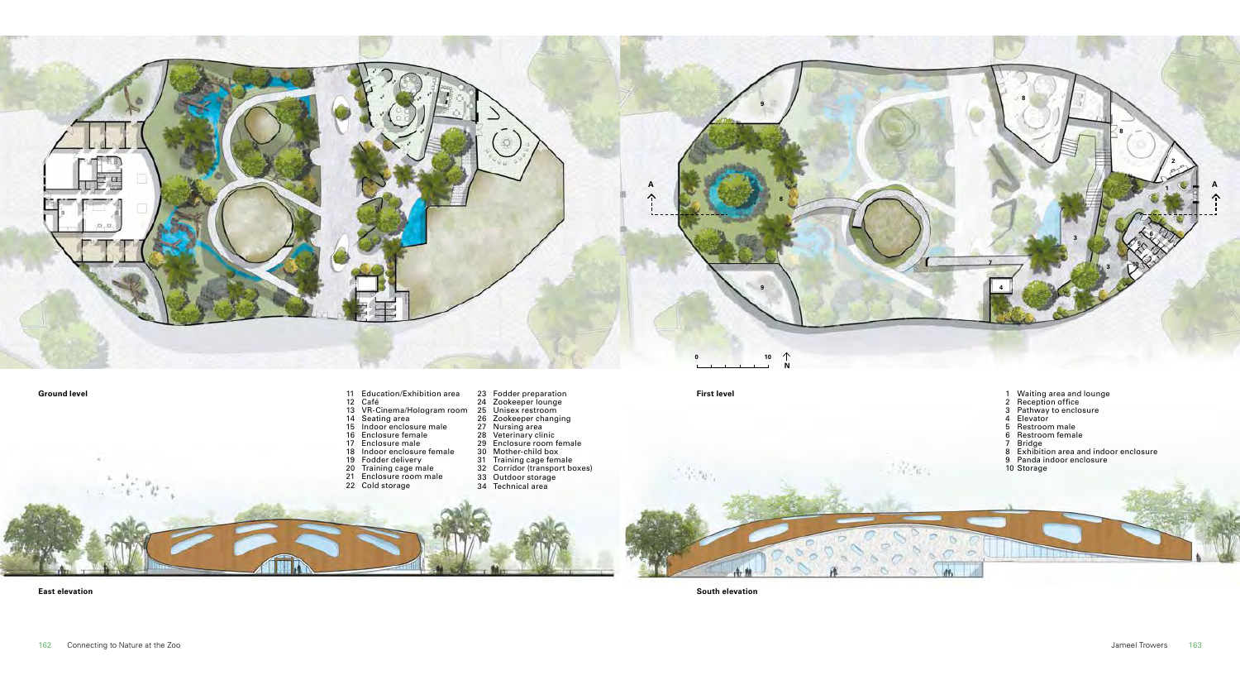- Waiting area and lounge
- Reception office
- Pathway to enclosure
- Elevator
- Restroom male
- Restroom female
- Bridge
- Exhibition area and indoor enclosure
- Panda indoor enclosure
- Storage

IO

- Education/Exhibition area **Ground level First level**
	- Café
	- VR-Cinema/Hologram room
	- Seating area
	- Indoor enclosure male
	- Enclosure female
	- Enclosure male Indoor enclosure female
	-
	- Fodder delivery
	- Training cage male Enclosure room male
	- Cold storage
- Zookeeper lounge Unisex restroom Zookeeper changing Nursing area Veterinary clinic Enclosure room female Mother-child box Training cage female

Fodder preparation

- Corridor (transport boxes)
- Outdoor storage Technical area



**East elevation South elevation**